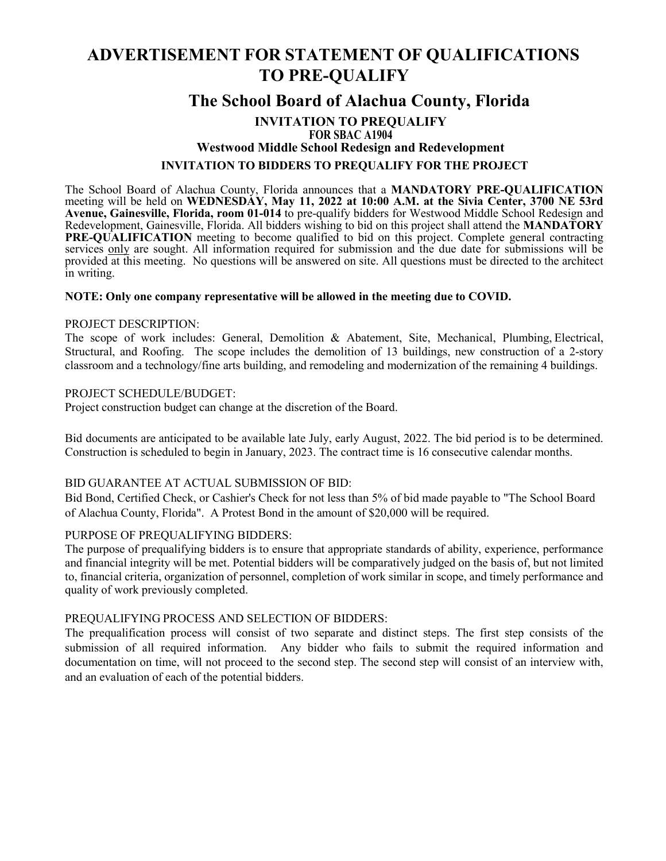# **ADVERTISEMENT FOR STATEMENT OF QUALIFICATIONS TO PRE-QUALIFY**

# **The School Board of Alachua County, Florida**

# **INVITATION TO PREQUALIFY FOR SBAC A1904 Westwood Middle School Redesign and Redevelopment INVITATION TO BIDDERS TO PREQUALIFY FOR THE PROJECT**

The School Board of Alachua County, Florida announces that a **MANDATORY PRE-QUALIFICATION** meeting will be held on **WEDNESDAY, May 11, 2022 at 10:00 A.M. at the Sivia Center, 3700 NE 53rd Avenue, Gainesville, Florida, room 01-014** to pre-qualify bidders for Westwood Middle School Redesign and Redevelopment, Gainesville, Florida. All bidders wishing to bid on this project shall attend the **MANDATORY PRE-QUALIFICATION** meeting to become qualified to bid on this project. Complete general contracting services only are sought. All information required for submission and the due date for submissions will be provided at this meeting. No questions will be answered on site. All questions must be directed to the architect in writing.

# **NOTE: Only one company representative will be allowed in the meeting due to COVID.**

#### PROJECT DESCRIPTION:

The scope of work includes: General, Demolition & Abatement, Site, Mechanical, Plumbing, Electrical, Structural, and Roofing. The scope includes the demolition of 13 buildings, new construction of a 2-story classroom and a technology/fine arts building, and remodeling and modernization of the remaining 4 buildings.

#### PROJECT SCHEDULE/BUDGET:

Project construction budget can change at the discretion of the Board.

Bid documents are anticipated to be available late July, early August, 2022. The bid period is to be determined. Construction is scheduled to begin in January, 2023. The contract time is 16 consecutive calendar months.

# BID GUARANTEE AT ACTUAL SUBMISSION OF BID:

Bid Bond, Certified Check, or Cashier's Check for not less than 5% of bid made payable to "The School Board of Alachua County, Florida". A Protest Bond in the amount of \$20,000 will be required.

# PURPOSE OF PREQUALIFYING BIDDERS:

The purpose of prequalifying bidders is to ensure that appropriate standards of ability, experience, performance and financial integrity will be met. Potential bidders will be comparatively judged on the basis of, but not limited to, financial criteria, organization of personnel, completion of work similar in scope, and timely performance and quality of work previously completed.

# PREQUALIFYING PROCESS AND SELECTION OF BIDDERS:

The prequalification process will consist of two separate and distinct steps. The first step consists of the submission of all required information. Any bidder who fails to submit the required information and documentation on time, will not proceed to the second step. The second step will consist of an interview with, and an evaluation of each of the potential bidders.